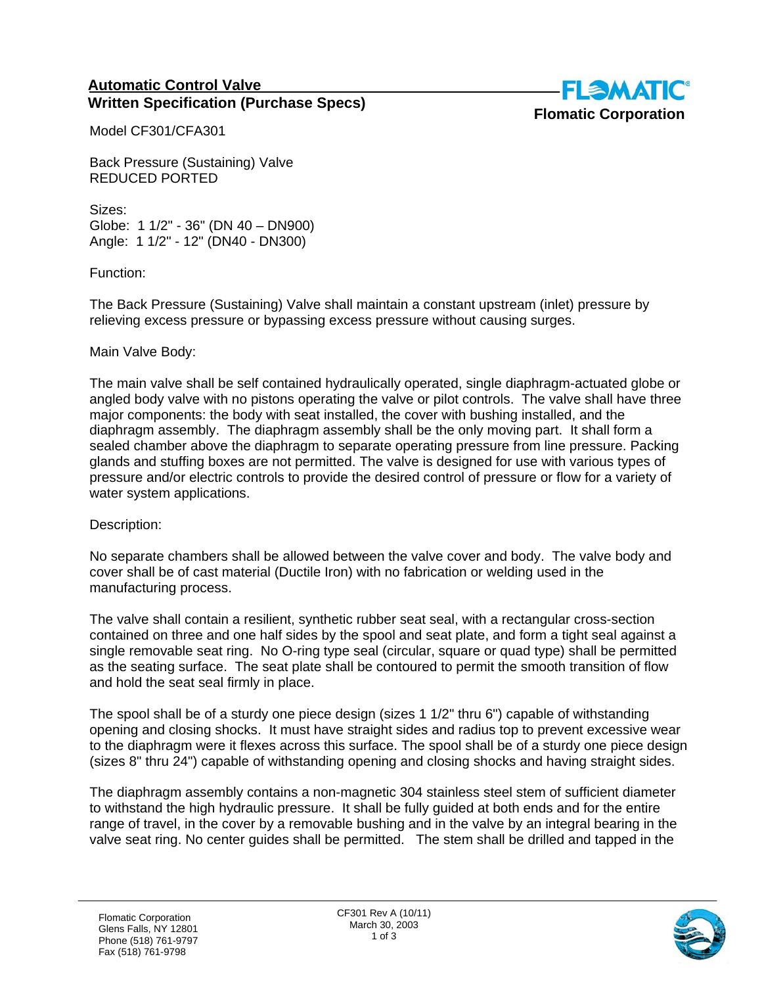## **Automatic Control Valve Written Specification (Purchase Specs)**



Model CF301/CFA301

Back Pressure (Sustaining) Valve REDUCED PORTED

Sizes: Globe: 1 1/2" - 36" (DN 40 – DN900) Angle: 1 1/2" - 12" (DN40 - DN300)

Function:

The Back Pressure (Sustaining) Valve shall maintain a constant upstream (inlet) pressure by relieving excess pressure or bypassing excess pressure without causing surges.

## Main Valve Body:

The main valve shall be self contained hydraulically operated, single diaphragm-actuated globe or angled body valve with no pistons operating the valve or pilot controls. The valve shall have three major components: the body with seat installed, the cover with bushing installed, and the diaphragm assembly. The diaphragm assembly shall be the only moving part. It shall form a sealed chamber above the diaphragm to separate operating pressure from line pressure. Packing glands and stuffing boxes are not permitted. The valve is designed for use with various types of pressure and/or electric controls to provide the desired control of pressure or flow for a variety of water system applications.

Description:

No separate chambers shall be allowed between the valve cover and body. The valve body and cover shall be of cast material (Ductile Iron) with no fabrication or welding used in the manufacturing process.

The valve shall contain a resilient, synthetic rubber seat seal, with a rectangular cross-section contained on three and one half sides by the spool and seat plate, and form a tight seal against a single removable seat ring. No O-ring type seal (circular, square or quad type) shall be permitted as the seating surface. The seat plate shall be contoured to permit the smooth transition of flow and hold the seat seal firmly in place.

The spool shall be of a sturdy one piece design (sizes 1 1/2" thru 6") capable of withstanding opening and closing shocks. It must have straight sides and radius top to prevent excessive wear to the diaphragm were it flexes across this surface. The spool shall be of a sturdy one piece design (sizes 8" thru 24") capable of withstanding opening and closing shocks and having straight sides.

The diaphragm assembly contains a non-magnetic 304 stainless steel stem of sufficient diameter to withstand the high hydraulic pressure. It shall be fully guided at both ends and for the entire range of travel, in the cover by a removable bushing and in the valve by an integral bearing in the valve seat ring. No center guides shall be permitted. The stem shall be drilled and tapped in the

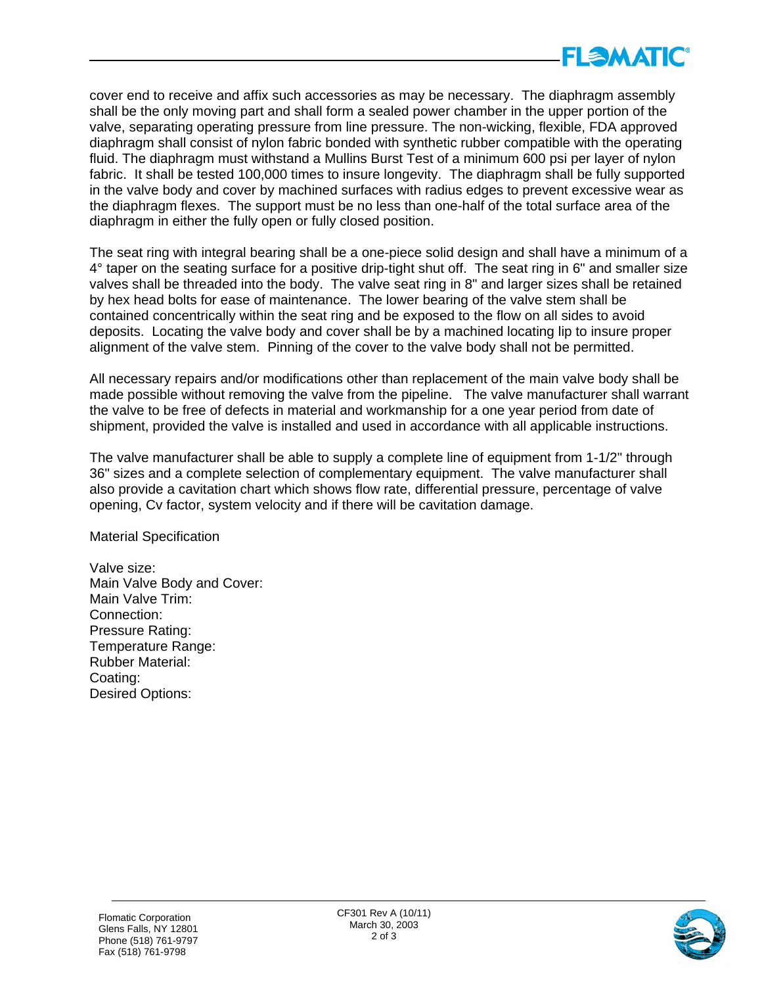

cover end to receive and affix such accessories as may be necessary. The diaphragm assembly shall be the only moving part and shall form a sealed power chamber in the upper portion of the valve, separating operating pressure from line pressure. The non-wicking, flexible, FDA approved diaphragm shall consist of nylon fabric bonded with synthetic rubber compatible with the operating fluid. The diaphragm must withstand a Mullins Burst Test of a minimum 600 psi per layer of nylon fabric. It shall be tested 100,000 times to insure longevity. The diaphragm shall be fully supported in the valve body and cover by machined surfaces with radius edges to prevent excessive wear as the diaphragm flexes. The support must be no less than one-half of the total surface area of the diaphragm in either the fully open or fully closed position.

The seat ring with integral bearing shall be a one-piece solid design and shall have a minimum of a 4° taper on the seating surface for a positive drip-tight shut off. The seat ring in 6" and smaller size valves shall be threaded into the body. The valve seat ring in 8" and larger sizes shall be retained by hex head bolts for ease of maintenance. The lower bearing of the valve stem shall be contained concentrically within the seat ring and be exposed to the flow on all sides to avoid deposits. Locating the valve body and cover shall be by a machined locating lip to insure proper alignment of the valve stem. Pinning of the cover to the valve body shall not be permitted.

All necessary repairs and/or modifications other than replacement of the main valve body shall be made possible without removing the valve from the pipeline. The valve manufacturer shall warrant the valve to be free of defects in material and workmanship for a one year period from date of shipment, provided the valve is installed and used in accordance with all applicable instructions.

The valve manufacturer shall be able to supply a complete line of equipment from 1-1/2" through 36" sizes and a complete selection of complementary equipment. The valve manufacturer shall also provide a cavitation chart which shows flow rate, differential pressure, percentage of valve opening, Cv factor, system velocity and if there will be cavitation damage.

Material Specification

Valve size: Main Valve Body and Cover: Main Valve Trim: Connection: Pressure Rating: Temperature Range: Rubber Material: Coating: Desired Options: